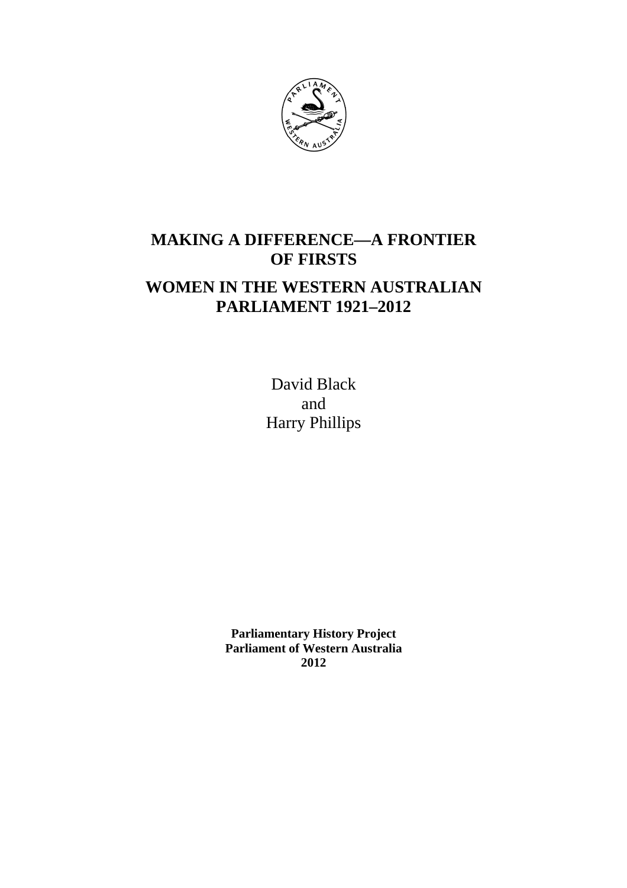

# **MAKING A DIFFERENCE—A FRONTIER OF FIRSTS**

## **WOMEN IN THE WESTERN AUSTRALIAN PARLIAMENT 1921–2012**

David Black and Harry Phillips

**Parliamentary History Project Parliament of Western Australia 2012**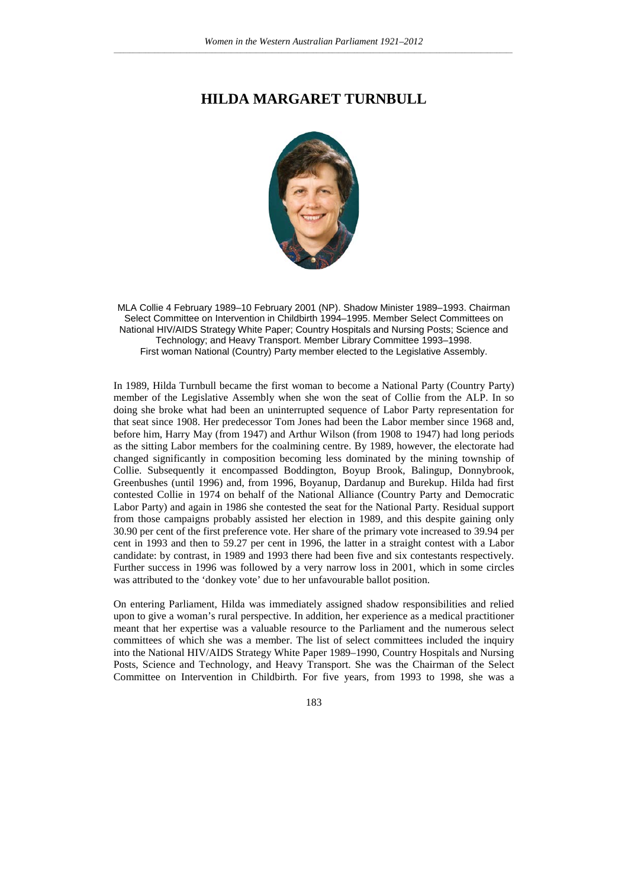## **HILDA MARGARET TURNBULL**



MLA Collie 4 February 1989–10 February 2001 (NP). Shadow Minister 1989–1993. Chairman Select Committee on Intervention in Childbirth 1994–1995. Member Select Committees on National HIV/AIDS Strategy White Paper; Country Hospitals and Nursing Posts; Science and Technology; and Heavy Transport. Member Library Committee 1993–1998. First woman National (Country) Party member elected to the Legislative Assembly.

In 1989, Hilda Turnbull became the first woman to become a National Party (Country Party) member of the Legislative Assembly when she won the seat of Collie from the ALP. In so doing she broke what had been an uninterrupted sequence of Labor Party representation for that seat since 1908. Her predecessor Tom Jones had been the Labor member since 1968 and, before him, Harry May (from 1947) and Arthur Wilson (from 1908 to 1947) had long periods as the sitting Labor members for the coalmining centre. By 1989, however, the electorate had changed significantly in composition becoming less dominated by the mining township of Collie. Subsequently it encompassed Boddington, Boyup Brook, Balingup, Donnybrook, Greenbushes (until 1996) and, from 1996, Boyanup, Dardanup and Burekup. Hilda had first contested Collie in 1974 on behalf of the National Alliance (Country Party and Democratic Labor Party) and again in 1986 she contested the seat for the National Party. Residual support from those campaigns probably assisted her election in 1989, and this despite gaining only 30.90 per cent of the first preference vote. Her share of the primary vote increased to 39.94 per cent in 1993 and then to 59.27 per cent in 1996, the latter in a straight contest with a Labor candidate: by contrast, in 1989 and 1993 there had been five and six contestants respectively. Further success in 1996 was followed by a very narrow loss in 2001, which in some circles was attributed to the 'donkey vote' due to her unfavourable ballot position.

On entering Parliament, Hilda was immediately assigned shadow responsibilities and relied upon to give a woman's rural perspective. In addition, her experience as a medical practitioner meant that her expertise was a valuable resource to the Parliament and the numerous select committees of which she was a member. The list of select committees included the inquiry into the National HIV/AIDS Strategy White Paper 1989–1990, Country Hospitals and Nursing Posts, Science and Technology, and Heavy Transport. She was the Chairman of the Select Committee on Intervention in Childbirth. For five years, from 1993 to 1998, she was a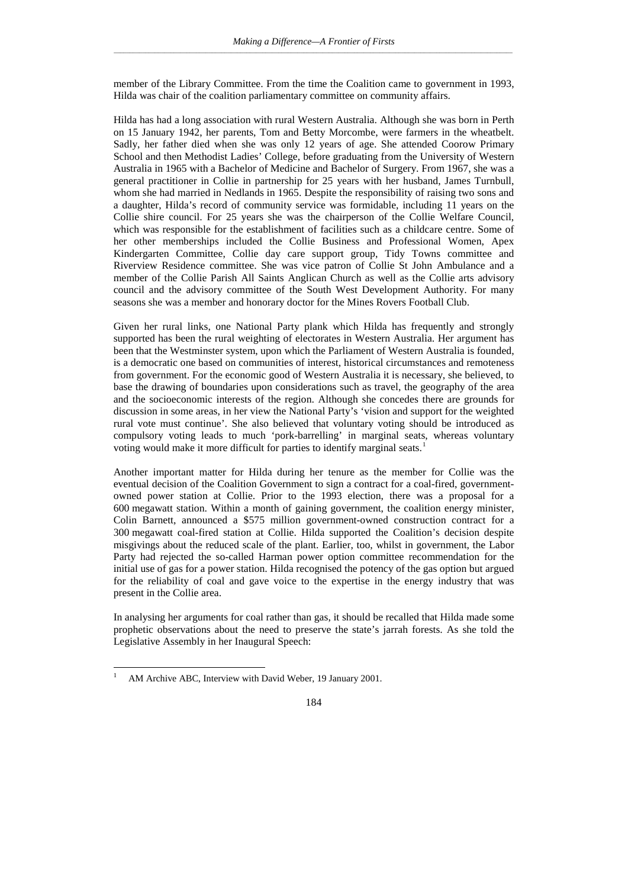member of the Library Committee. From the time the Coalition came to government in 1993, Hilda was chair of the coalition parliamentary committee on community affairs.

Hilda has had a long association with rural Western Australia. Although she was born in Perth on 15 January 1942, her parents, Tom and Betty Morcombe, were farmers in the wheatbelt. Sadly, her father died when she was only 12 years of age. She attended Coorow Primary School and then Methodist Ladies' College, before graduating from the University of Western Australia in 1965 with a Bachelor of Medicine and Bachelor of Surgery. From 1967, she was a general practitioner in Collie in partnership for 25 years with her husband, James Turnbull, whom she had married in Nedlands in 1965. Despite the responsibility of raising two sons and a daughter, Hilda's record of community service was formidable, including 11 years on the Collie shire council. For 25 years she was the chairperson of the Collie Welfare Council, which was responsible for the establishment of facilities such as a childcare centre. Some of her other memberships included the Collie Business and Professional Women, Apex Kindergarten Committee, Collie day care support group, Tidy Towns committee and Riverview Residence committee. She was vice patron of Collie St John Ambulance and a member of the Collie Parish All Saints Anglican Church as well as the Collie arts advisory council and the advisory committee of the South West Development Authority. For many seasons she was a member and honorary doctor for the Mines Rovers Football Club.

Given her rural links, one National Party plank which Hilda has frequently and strongly supported has been the rural weighting of electorates in Western Australia. Her argument has been that the Westminster system, upon which the Parliament of Western Australia is founded, is a democratic one based on communities of interest, historical circumstances and remoteness from government. For the economic good of Western Australia it is necessary, she believed, to base the drawing of boundaries upon considerations such as travel, the geography of the area and the socioeconomic interests of the region. Although she concedes there are grounds for discussion in some areas, in her view the National Party's 'vision and support for the weighted rural vote must continue'. She also believed that voluntary voting should be introduced as compulsory voting leads to much 'pork-barrelling' in marginal seats, whereas voluntary voting would make it more difficult for parties to identify marginal seats.<sup>[1](#page-2-0)</sup>

Another important matter for Hilda during her tenure as the member for Collie was the eventual decision of the Coalition Government to sign a contract for a coal-fired, governmentowned power station at Collie. Prior to the 1993 election, there was a proposal for a 600 megawatt station. Within a month of gaining government, the coalition energy minister, Colin Barnett, announced a \$575 million government-owned construction contract for a 300 megawatt coal-fired station at Collie. Hilda supported the Coalition's decision despite misgivings about the reduced scale of the plant. Earlier, too, whilst in government, the Labor Party had rejected the so-called Harman power option committee recommendation for the initial use of gas for a power station. Hilda recognised the potency of the gas option but argued for the reliability of coal and gave voice to the expertise in the energy industry that was present in the Collie area.

In analysing her arguments for coal rather than gas, it should be recalled that Hilda made some prophetic observations about the need to preserve the state's jarrah forests. As she told the Legislative Assembly in her Inaugural Speech:

<span id="page-2-0"></span><sup>1</sup> AM Archive ABC, Interview with David Weber, 19 January 2001.  $\mathbf{1}$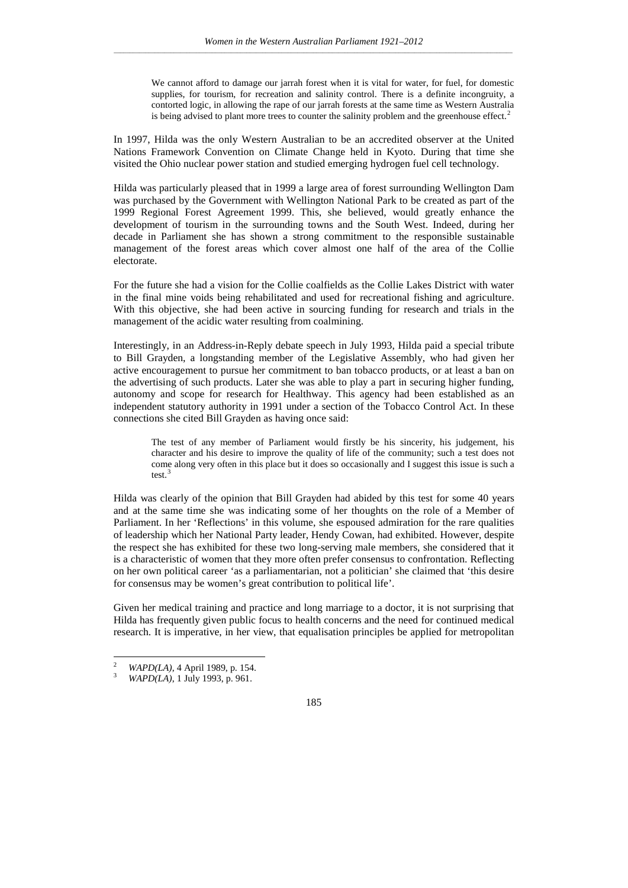We cannot afford to damage our jarrah forest when it is vital for water, for fuel, for domestic supplies, for tourism, for recreation and salinity control. There is a definite incongruity, a contorted logic, in allowing the rape of our jarrah forests at the same time as Western Australia is being advised to plant more trees to counter the salinity problem and the greenhouse effect.<sup>[2](#page-3-0)</sup>

In 1997, Hilda was the only Western Australian to be an accredited observer at the United Nations Framework Convention on Climate Change held in Kyoto. During that time she visited the Ohio nuclear power station and studied emerging hydrogen fuel cell technology.

Hilda was particularly pleased that in 1999 a large area of forest surrounding Wellington Dam was purchased by the Government with Wellington National Park to be created as part of the 1999 Regional Forest Agreement 1999. This, she believed, would greatly enhance the development of tourism in the surrounding towns and the South West. Indeed, during her decade in Parliament she has shown a strong commitment to the responsible sustainable management of the forest areas which cover almost one half of the area of the Collie electorate.

For the future she had a vision for the Collie coalfields as the Collie Lakes District with water in the final mine voids being rehabilitated and used for recreational fishing and agriculture. With this objective, she had been active in sourcing funding for research and trials in the management of the acidic water resulting from coalmining.

Interestingly, in an Address-in-Reply debate speech in July 1993, Hilda paid a special tribute to Bill Grayden, a longstanding member of the Legislative Assembly, who had given her active encouragement to pursue her commitment to ban tobacco products, or at least a ban on the advertising of such products. Later she was able to play a part in securing higher funding, autonomy and scope for research for Healthway. This agency had been established as an independent statutory authority in 1991 under a section of the Tobacco Control Act. In these connections she cited Bill Grayden as having once said:

The test of any member of Parliament would firstly be his sincerity, his judgement, his character and his desire to improve the quality of life of the community; such a test does not come along very often in this place but it does so occasionally and I suggest this issue is such a test.<sup>[3](#page-3-1)</sup>

Hilda was clearly of the opinion that Bill Grayden had abided by this test for some 40 years and at the same time she was indicating some of her thoughts on the role of a Member of Parliament. In her 'Reflections' in this volume, she espoused admiration for the rare qualities of leadership which her National Party leader, Hendy Cowan, had exhibited. However, despite the respect she has exhibited for these two long-serving male members, she considered that it is a characteristic of women that they more often prefer consensus to confrontation. Reflecting on her own political career 'as a parliamentarian, not a politician' she claimed that 'this desire for consensus may be women's great contribution to political life'.

Given her medical training and practice and long marriage to a doctor, it is not surprising that Hilda has frequently given public focus to health concerns and the need for continued medical research. It is imperative, in her view, that equalisation principles be applied for metropolitan

<span id="page-3-0"></span> $\mathcal{L}$ 

<span id="page-3-1"></span><sup>2</sup> *WAPD(LA)*, 4 April 1989, p. 154. <sup>3</sup> *WAPD(LA)*, 1 July 1993, p. 961.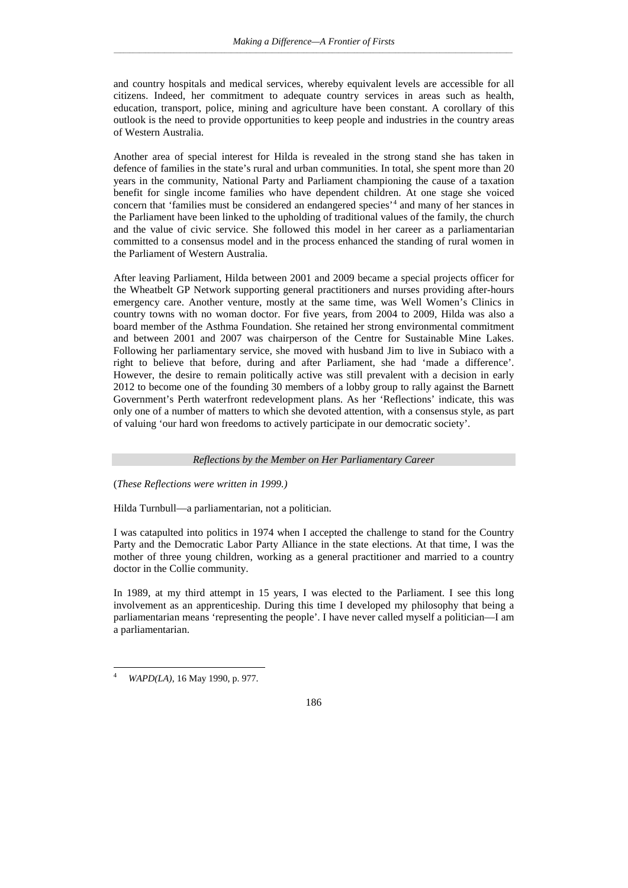and country hospitals and medical services, whereby equivalent levels are accessible for all citizens. Indeed, her commitment to adequate country services in areas such as health, education, transport, police, mining and agriculture have been constant. A corollary of this outlook is the need to provide opportunities to keep people and industries in the country areas of Western Australia.

Another area of special interest for Hilda is revealed in the strong stand she has taken in defence of families in the state's rural and urban communities. In total, she spent more than 20 years in the community, National Party and Parliament championing the cause of a taxation benefit for single income families who have dependent children. At one stage she voiced concern that 'families must be considered an endangered species'[4](#page-4-0) and many of her stances in the Parliament have been linked to the upholding of traditional values of the family, the church and the value of civic service. She followed this model in her career as a parliamentarian committed to a consensus model and in the process enhanced the standing of rural women in the Parliament of Western Australia.

After leaving Parliament, Hilda between 2001 and 2009 became a special projects officer for the Wheatbelt GP Network supporting general practitioners and nurses providing after-hours emergency care. Another venture, mostly at the same time, was Well Women's Clinics in country towns with no woman doctor. For five years, from 2004 to 2009, Hilda was also a board member of the Asthma Foundation. She retained her strong environmental commitment and between 2001 and 2007 was chairperson of the Centre for Sustainable Mine Lakes. Following her parliamentary service, she moved with husband Jim to live in Subiaco with a right to believe that before, during and after Parliament, she had 'made a difference'. However, the desire to remain politically active was still prevalent with a decision in early 2012 to become one of the founding 30 members of a lobby group to rally against the Barnett Government's Perth waterfront redevelopment plans. As her 'Reflections' indicate, this was only one of a number of matters to which she devoted attention, with a consensus style, as part of valuing 'our hard won freedoms to actively participate in our democratic society'.

### *Reflections by the Member on Her Parliamentary Career*

(*These Reflections were written in 1999.)*

Hilda Turnbull—a parliamentarian, not a politician.

I was catapulted into politics in 1974 when I accepted the challenge to stand for the Country Party and the Democratic Labor Party Alliance in the state elections. At that time, I was the mother of three young children, working as a general practitioner and married to a country doctor in the Collie community.

In 1989, at my third attempt in 15 years, I was elected to the Parliament. I see this long involvement as an apprenticeship. During this time I developed my philosophy that being a parliamentarian means 'representing the people'. I have never called myself a politician—I am a parliamentarian.

<span id="page-4-0"></span><sup>4</sup> *WAPD(LA)*, 16 May 1990, p. 977.  $\overline{4}$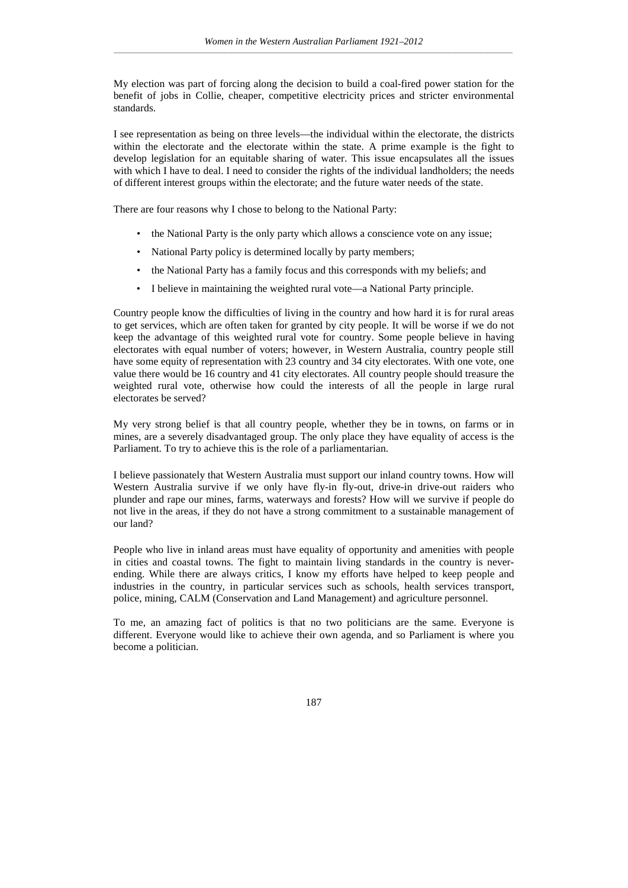My election was part of forcing along the decision to build a coal-fired power station for the benefit of jobs in Collie, cheaper, competitive electricity prices and stricter environmental standards.

I see representation as being on three levels—the individual within the electorate, the districts within the electorate and the electorate within the state. A prime example is the fight to develop legislation for an equitable sharing of water. This issue encapsulates all the issues with which I have to deal. I need to consider the rights of the individual landholders; the needs of different interest groups within the electorate; and the future water needs of the state.

There are four reasons why I chose to belong to the National Party:

- the National Party is the only party which allows a conscience vote on any issue;
- National Party policy is determined locally by party members;
- the National Party has a family focus and this corresponds with my beliefs; and
- I believe in maintaining the weighted rural vote—a National Party principle.

Country people know the difficulties of living in the country and how hard it is for rural areas to get services, which are often taken for granted by city people. It will be worse if we do not keep the advantage of this weighted rural vote for country. Some people believe in having electorates with equal number of voters; however, in Western Australia, country people still have some equity of representation with 23 country and 34 city electorates. With one vote, one value there would be 16 country and 41 city electorates. All country people should treasure the weighted rural vote, otherwise how could the interests of all the people in large rural electorates be served?

My very strong belief is that all country people, whether they be in towns, on farms or in mines, are a severely disadvantaged group. The only place they have equality of access is the Parliament. To try to achieve this is the role of a parliamentarian.

I believe passionately that Western Australia must support our inland country towns. How will Western Australia survive if we only have fly-in fly-out, drive-in drive-out raiders who plunder and rape our mines, farms, waterways and forests? How will we survive if people do not live in the areas, if they do not have a strong commitment to a sustainable management of our land?

People who live in inland areas must have equality of opportunity and amenities with people in cities and coastal towns. The fight to maintain living standards in the country is neverending. While there are always critics, I know my efforts have helped to keep people and industries in the country, in particular services such as schools, health services transport, police, mining, CALM (Conservation and Land Management) and agriculture personnel.

To me, an amazing fact of politics is that no two politicians are the same. Everyone is different. Everyone would like to achieve their own agenda, and so Parliament is where you become a politician.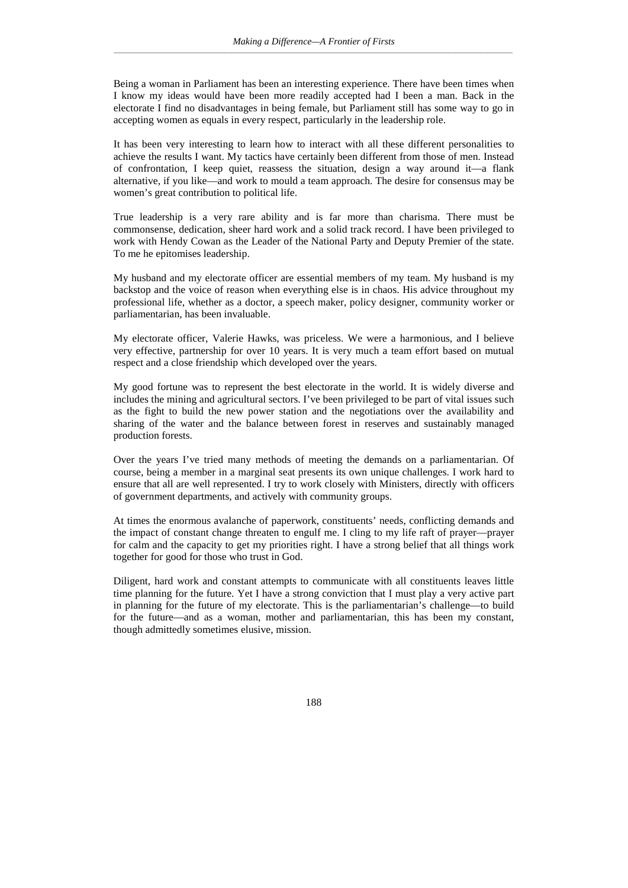Being a woman in Parliament has been an interesting experience. There have been times when I know my ideas would have been more readily accepted had I been a man. Back in the electorate I find no disadvantages in being female, but Parliament still has some way to go in accepting women as equals in every respect, particularly in the leadership role.

It has been very interesting to learn how to interact with all these different personalities to achieve the results I want. My tactics have certainly been different from those of men. Instead of confrontation, I keep quiet, reassess the situation, design a way around it—a flank alternative, if you like—and work to mould a team approach. The desire for consensus may be women's great contribution to political life.

True leadership is a very rare ability and is far more than charisma. There must be commonsense, dedication, sheer hard work and a solid track record. I have been privileged to work with Hendy Cowan as the Leader of the National Party and Deputy Premier of the state. To me he epitomises leadership.

My husband and my electorate officer are essential members of my team. My husband is my backstop and the voice of reason when everything else is in chaos. His advice throughout my professional life, whether as a doctor, a speech maker, policy designer, community worker or parliamentarian, has been invaluable.

My electorate officer, Valerie Hawks, was priceless. We were a harmonious, and I believe very effective, partnership for over 10 years. It is very much a team effort based on mutual respect and a close friendship which developed over the years.

My good fortune was to represent the best electorate in the world. It is widely diverse and includes the mining and agricultural sectors. I've been privileged to be part of vital issues such as the fight to build the new power station and the negotiations over the availability and sharing of the water and the balance between forest in reserves and sustainably managed production forests.

Over the years I've tried many methods of meeting the demands on a parliamentarian. Of course, being a member in a marginal seat presents its own unique challenges. I work hard to ensure that all are well represented. I try to work closely with Ministers, directly with officers of government departments, and actively with community groups.

At times the enormous avalanche of paperwork, constituents' needs, conflicting demands and the impact of constant change threaten to engulf me. I cling to my life raft of prayer—prayer for calm and the capacity to get my priorities right. I have a strong belief that all things work together for good for those who trust in God.

Diligent, hard work and constant attempts to communicate with all constituents leaves little time planning for the future. Yet I have a strong conviction that I must play a very active part in planning for the future of my electorate. This is the parliamentarian's challenge—to build for the future—and as a woman, mother and parliamentarian, this has been my constant, though admittedly sometimes elusive, mission.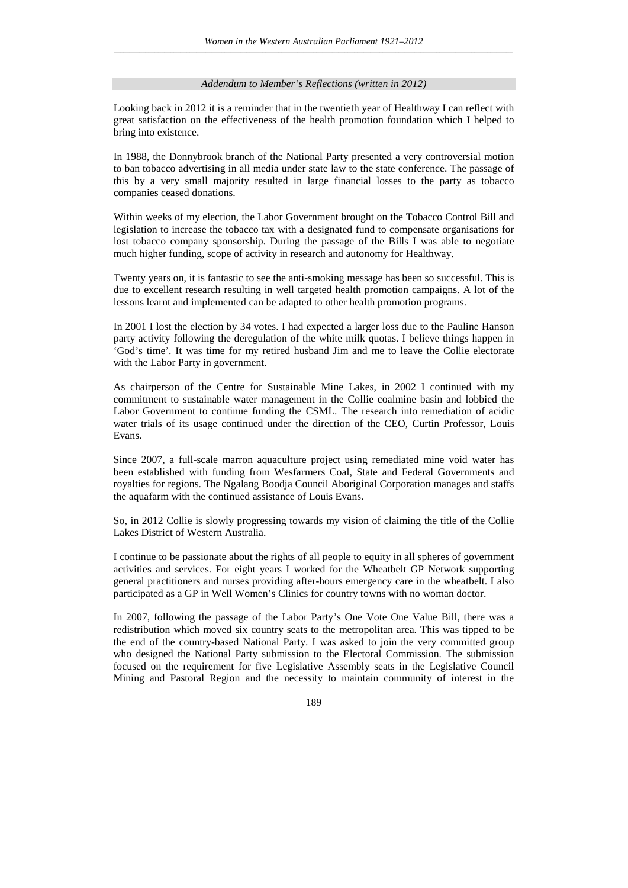#### *Addendum to Member's Reflections (written in 2012)*

Looking back in 2012 it is a reminder that in the twentieth year of Healthway I can reflect with great satisfaction on the effectiveness of the health promotion foundation which I helped to bring into existence.

In 1988, the Donnybrook branch of the National Party presented a very controversial motion to ban tobacco advertising in all media under state law to the state conference. The passage of this by a very small majority resulted in large financial losses to the party as tobacco companies ceased donations.

Within weeks of my election, the Labor Government brought on the Tobacco Control Bill and legislation to increase the tobacco tax with a designated fund to compensate organisations for lost tobacco company sponsorship. During the passage of the Bills I was able to negotiate much higher funding, scope of activity in research and autonomy for Healthway.

Twenty years on, it is fantastic to see the anti-smoking message has been so successful. This is due to excellent research resulting in well targeted health promotion campaigns. A lot of the lessons learnt and implemented can be adapted to other health promotion programs.

In 2001 I lost the election by 34 votes. I had expected a larger loss due to the Pauline Hanson party activity following the deregulation of the white milk quotas. I believe things happen in 'God's time'. It was time for my retired husband Jim and me to leave the Collie electorate with the Labor Party in government.

As chairperson of the Centre for Sustainable Mine Lakes, in 2002 I continued with my commitment to sustainable water management in the Collie coalmine basin and lobbied the Labor Government to continue funding the CSML. The research into remediation of acidic water trials of its usage continued under the direction of the CEO, Curtin Professor, Louis Evans.

Since 2007, a full-scale marron aquaculture project using remediated mine void water has been established with funding from Wesfarmers Coal, State and Federal Governments and royalties for regions. The Ngalang Boodja Council Aboriginal Corporation manages and staffs the aquafarm with the continued assistance of Louis Evans.

So, in 2012 Collie is slowly progressing towards my vision of claiming the title of the Collie Lakes District of Western Australia.

I continue to be passionate about the rights of all people to equity in all spheres of government activities and services. For eight years I worked for the Wheatbelt GP Network supporting general practitioners and nurses providing after-hours emergency care in the wheatbelt. I also participated as a GP in Well Women's Clinics for country towns with no woman doctor.

In 2007, following the passage of the Labor Party's One Vote One Value Bill, there was a redistribution which moved six country seats to the metropolitan area. This was tipped to be the end of the country-based National Party. I was asked to join the very committed group who designed the National Party submission to the Electoral Commission. The submission focused on the requirement for five Legislative Assembly seats in the Legislative Council Mining and Pastoral Region and the necessity to maintain community of interest in the